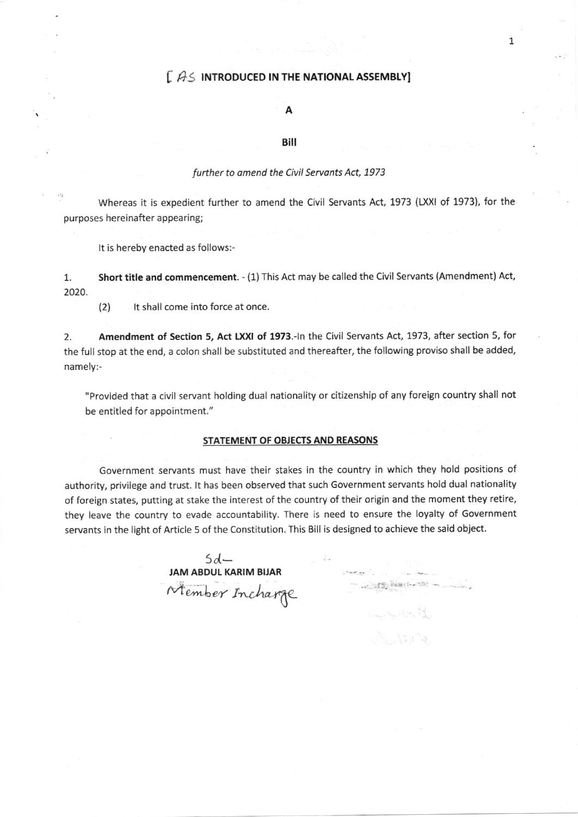### $[$   $A<sub>S</sub>$  introduced in the national assembly]

#### A

#### Bill

#### further to amend the Civil Servants Act, 1973

Whereas it is expedient further to amend the Civil Servants Act, 1973 (LXXI of 1973), for the purposes hereinafter appearing;

It is hereby enacted as follows:-

1. Short title and commencement. - (1) This Act may be called the Civil Servants (Amendment) Act, zo20

(2) It shall come into force at once.

2. Amendment of Section 5, Act LXXI of 1973.-In the Civil Servants Act, 1973, after section 5, for the full stop at the end, a colon shall be substituted and thereafter, the following proviso shall be added, namely:-

"Provided that a civil servant holding dual nationality or citizenship of any foreign country shall not be entitled for appointment."

#### STATEMENT OF OBJECTS AND REASONS

Government servants must have their stakes in the country in which they hold positions of authority, privilege and trust. lt has been observed that such Government servants hold dual nationality of foreign states, putting at stake the interest of the country of their origin and the moment they retire, they leave the country to evade accountability. There is need to ensure the loyalty of Government servants in the light of Article 5 of the Constitution. This Bill is designed to achieve the said object.

 $-15.$  Nather  $22$ <sup>t</sup>  $-$  lb.

Lucat.

 $\mathcal{F}_{\text{max}}$  ,  $\mathcal{F}_{\text{max}}$ 

 $5d-$ IAM ABDUL KARIM BUAR JAM ABDUL KARIM BIJAR<br>Member Incharg